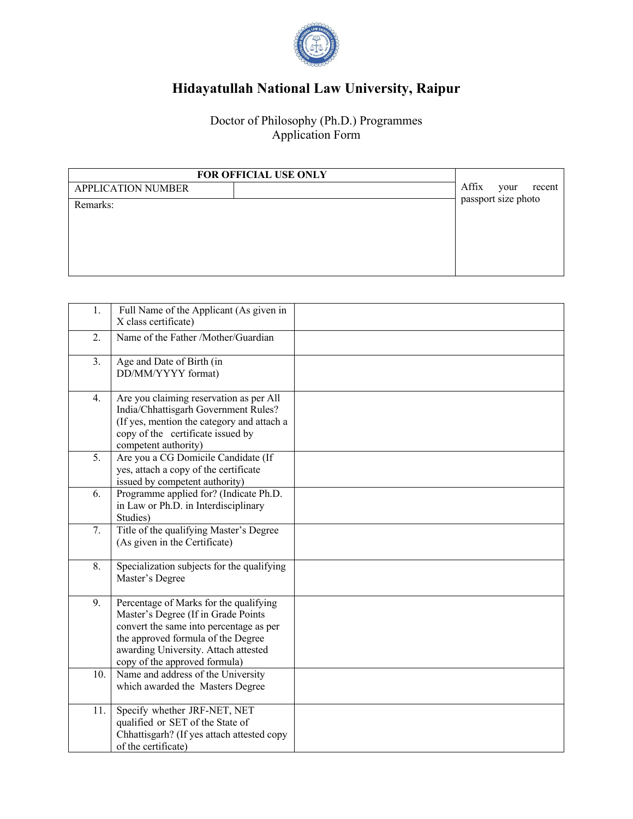

## **Hidayatullah National Law University, Raipur**

Doctor of Philosophy (Ph.D.) Programmes Application Form

| FOR OFFICIAL USE ONLY     |                         |
|---------------------------|-------------------------|
| <b>APPLICATION NUMBER</b> | Affix<br>recent<br>your |
| Remarks:                  | passport size photo     |
|                           |                         |
|                           |                         |
|                           |                         |
|                           |                         |

| 1.  | Full Name of the Applicant (As given in<br>X class certificate)                                                                                                                                                                         |  |
|-----|-----------------------------------------------------------------------------------------------------------------------------------------------------------------------------------------------------------------------------------------|--|
| 2.  | Name of the Father /Mother/Guardian                                                                                                                                                                                                     |  |
| 3.  | Age and Date of Birth (in<br>DD/MM/YYYY format)                                                                                                                                                                                         |  |
| 4.  | Are you claiming reservation as per All<br>India/Chhattisgarh Government Rules?<br>(If yes, mention the category and attach a<br>copy of the certificate issued by<br>competent authority)                                              |  |
| 5.  | Are you a CG Domicile Candidate (If<br>yes, attach a copy of the certificate<br>issued by competent authority)                                                                                                                          |  |
| 6.  | Programme applied for? (Indicate Ph.D.<br>in Law or Ph.D. in Interdisciplinary<br>Studies)                                                                                                                                              |  |
| 7.  | Title of the qualifying Master's Degree<br>(As given in the Certificate)                                                                                                                                                                |  |
| 8.  | Specialization subjects for the qualifying<br>Master's Degree                                                                                                                                                                           |  |
| 9.  | Percentage of Marks for the qualifying<br>Master's Degree (If in Grade Points<br>convert the same into percentage as per<br>the approved formula of the Degree<br>awarding University. Attach attested<br>copy of the approved formula) |  |
| 10. | Name and address of the University<br>which awarded the Masters Degree                                                                                                                                                                  |  |
| 11. | Specify whether JRF-NET, NET<br>qualified or SET of the State of<br>Chhattisgarh? (If yes attach attested copy<br>of the certificate)                                                                                                   |  |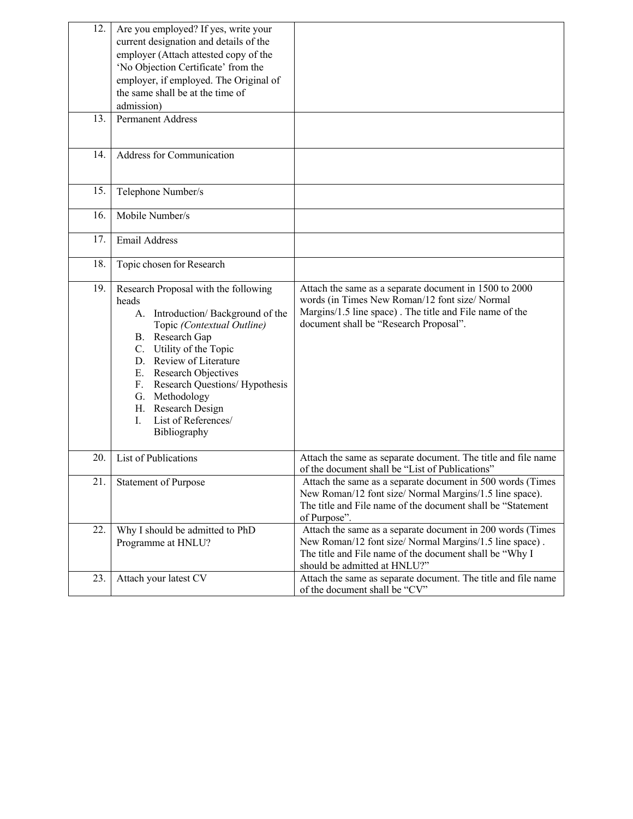| 12. | Are you employed? If yes, write your<br>current designation and details of the<br>employer (Attach attested copy of the<br>'No Objection Certificate' from the<br>employer, if employed. The Original of<br>the same shall be at the time of<br>admission)                                                                                    |                                                                                                                                                                                                                  |
|-----|-----------------------------------------------------------------------------------------------------------------------------------------------------------------------------------------------------------------------------------------------------------------------------------------------------------------------------------------------|------------------------------------------------------------------------------------------------------------------------------------------------------------------------------------------------------------------|
| 13. | <b>Permanent Address</b>                                                                                                                                                                                                                                                                                                                      |                                                                                                                                                                                                                  |
| 14. | Address for Communication                                                                                                                                                                                                                                                                                                                     |                                                                                                                                                                                                                  |
| 15. | Telephone Number/s                                                                                                                                                                                                                                                                                                                            |                                                                                                                                                                                                                  |
| 16. | Mobile Number/s                                                                                                                                                                                                                                                                                                                               |                                                                                                                                                                                                                  |
| 17. | Email Address                                                                                                                                                                                                                                                                                                                                 |                                                                                                                                                                                                                  |
| 18. | Topic chosen for Research                                                                                                                                                                                                                                                                                                                     |                                                                                                                                                                                                                  |
| 19. | Research Proposal with the following<br>heads<br>A. Introduction/Background of the<br>Topic (Contextual Outline)<br>B. Research Gap<br>C. Utility of the Topic<br>D. Review of Literature<br>E. Research Objectives<br>F. Research Questions/ Hypothesis<br>G. Methodology<br>H. Research Design<br>List of References/<br>I.<br>Bibliography | Attach the same as a separate document in 1500 to 2000<br>words (in Times New Roman/12 font size/ Normal<br>Margins/1.5 line space). The title and File name of the<br>document shall be "Research Proposal".    |
| 20. | List of Publications                                                                                                                                                                                                                                                                                                                          | Attach the same as separate document. The title and file name<br>of the document shall be "List of Publications"                                                                                                 |
| 21. | <b>Statement of Purpose</b>                                                                                                                                                                                                                                                                                                                   | Attach the same as a separate document in 500 words (Times<br>New Roman/12 font size/ Normal Margins/1.5 line space).<br>The title and File name of the document shall be "Statement"<br>of Purpose".            |
| 22. | Why I should be admitted to PhD<br>Programme at HNLU?                                                                                                                                                                                                                                                                                         | Attach the same as a separate document in 200 words (Times<br>New Roman/12 font size/ Normal Margins/1.5 line space).<br>The title and File name of the document shall be "Why I<br>should be admitted at HNLU?" |
| 23. | Attach your latest CV                                                                                                                                                                                                                                                                                                                         | Attach the same as separate document. The title and file name<br>of the document shall be "CV"                                                                                                                   |